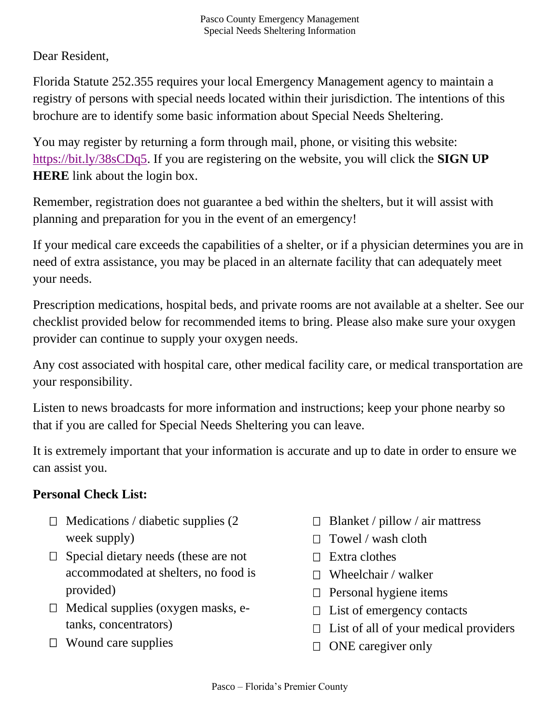Dear Resident,

Florida Statute 252.355 requires your local Emergency Management agency to maintain a registry of persons with special needs located within their jurisdiction. The intentions of this brochure are to identify some basic information about Special Needs Sheltering.

You may register by returning a form through mail, phone, or visiting this website: [https://bit.ly/38sCDq5.](https://bit.ly/38sCDq5) If you are registering on the website, you will click the **SIGN UP HERE** link about the login box.

Remember, registration does not guarantee a bed within the shelters, but it will assist with planning and preparation for you in the event of an emergency!

If your medical care exceeds the capabilities of a shelter, or if a physician determines you are in need of extra assistance, you may be placed in an alternate facility that can adequately meet your needs.

Prescription medications, hospital beds, and private rooms are not available at a shelter. See our checklist provided below for recommended items to bring. Please also make sure your oxygen provider can continue to supply your oxygen needs.

Any cost associated with hospital care, other medical facility care, or medical transportation are your responsibility.

Listen to news broadcasts for more information and instructions; keep your phone nearby so that if you are called for Special Needs Sheltering you can leave.

It is extremely important that your information is accurate and up to date in order to ensure we can assist you.

## **Personal Check List:**

- $\Box$  Medications / diabetic supplies (2) week supply)
- $\Box$  Special dietary needs (these are not accommodated at shelters, no food is provided)
- $\Box$  Medical supplies (oxygen masks, etanks, concentrators)
- $\Box$  Wound care supplies
- $\Box$  Blanket / pillow / air mattress
- $\Box$  Towel / wash cloth
- $\Box$  Extra clothes
- $\Box$  Wheelchair / walker
- $\Box$  Personal hygiene items
- $\Box$  List of emergency contacts
- $\Box$  List of all of your medical providers
- $\Box$  ONE caregiver only